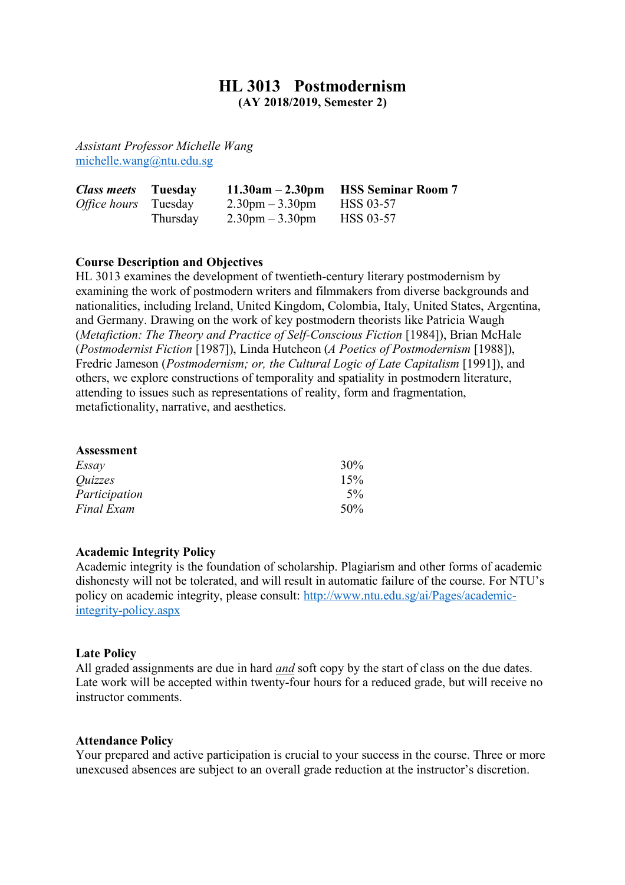# **HL 3013 Postmodernism**

**(AY 2018/2019, Semester 2)**

*Assistant Professor Michelle Wang* michelle.wang@ntu.edu.sg

| <b>Class meets</b> Tuesday  |          | $11.30am - 2.30pm$                | <b>HSS Seminar Room 7</b> |
|-----------------------------|----------|-----------------------------------|---------------------------|
| <i>Office hours</i> Tuesday |          | $2.30 \text{pm} - 3.30 \text{pm}$ | <b>HSS 03-57</b>          |
|                             | Thursday | $2.30 \text{pm} - 3.30 \text{pm}$ | HSS 03-57                 |

## **Course Description and Objectives**

HL 3013 examines the development of twentieth-century literary postmodernism by examining the work of postmodern writers and filmmakers from diverse backgrounds and nationalities, including Ireland, United Kingdom, Colombia, Italy, United States, Argentina, and Germany. Drawing on the work of key postmodern theorists like Patricia Waugh (*Metafiction: The Theory and Practice of Self-Conscious Fiction* [1984]), Brian McHale (*Postmodernist Fiction* [1987]), Linda Hutcheon (*A Poetics of Postmodernism* [1988]), Fredric Jameson (*Postmodernism; or, the Cultural Logic of Late Capitalism* [1991]), and others, we explore constructions of temporality and spatiality in postmodern literature, attending to issues such as representations of reality, form and fragmentation, metafictionality, narrative, and aesthetics.

| <b>Assessment</b>     |     |
|-----------------------|-----|
| Essay                 | 30% |
| <i><u>Ouizzes</u></i> | 15% |
| Participation         | 5%  |
| <b>Final Exam</b>     | 50% |

### **Academic Integrity Policy**

Academic integrity is the foundation of scholarship. Plagiarism and other forms of academic dishonesty will not be tolerated, and will result in automatic failure of the course. For NTU's policy on academic integrity, please consult: http://www.ntu.edu.sg/ai/Pages/academicintegrity-policy.aspx

#### **Late Policy**

All graded assignments are due in hard *and* soft copy by the start of class on the due dates. Late work will be accepted within twenty-four hours for a reduced grade, but will receive no instructor comments.

### **Attendance Policy**

Your prepared and active participation is crucial to your success in the course. Three or more unexcused absences are subject to an overall grade reduction at the instructor's discretion.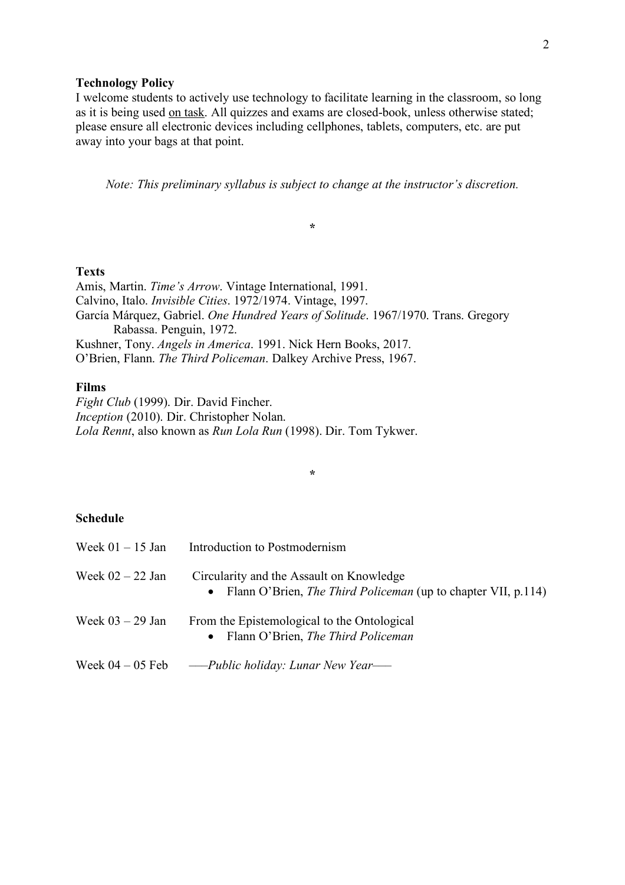#### **Technology Policy**

I welcome students to actively use technology to facilitate learning in the classroom, so long as it is being used on task. All quizzes and exams are closed-book, unless otherwise stated; please ensure all electronic devices including cellphones, tablets, computers, etc. are put away into your bags at that point.

*Note: This preliminary syllabus is subject to change at the instructor's discretion.*

**\***

## **Texts**

Amis, Martin. *Time's Arrow*. Vintage International, 1991. Calvino, Italo. *Invisible Cities*. 1972/1974. Vintage, 1997. García Márquez, Gabriel. *One Hundred Years of Solitude*. 1967/1970. Trans. Gregory Rabassa. Penguin, 1972. Kushner, Tony. *Angels in America*. 1991. Nick Hern Books, 2017. O'Brien, Flann. *The Third Policeman*. Dalkey Archive Press, 1967.

## **Films**

*Fight Club* (1999). Dir. David Fincher. *Inception* (2010). Dir. Christopher Nolan. *Lola Rennt*, also known as *Run Lola Run* (1998). Dir. Tom Tykwer.

## **Schedule**

| Week $01 - 15$ Jan | Introduction to Postmodernism                                                                                      |
|--------------------|--------------------------------------------------------------------------------------------------------------------|
| Week $02 - 22$ Jan | Circularity and the Assault on Knowledge<br>• Flann O'Brien, <i>The Third Policeman</i> (up to chapter VII, p.114) |
| Week $03 - 29$ Jan | From the Epistemological to the Ontological<br>• Flann O'Brien, The Third Policeman                                |
| Week $04 - 05$ Feb | — Public holiday: Lunar New Year—                                                                                  |

**\***